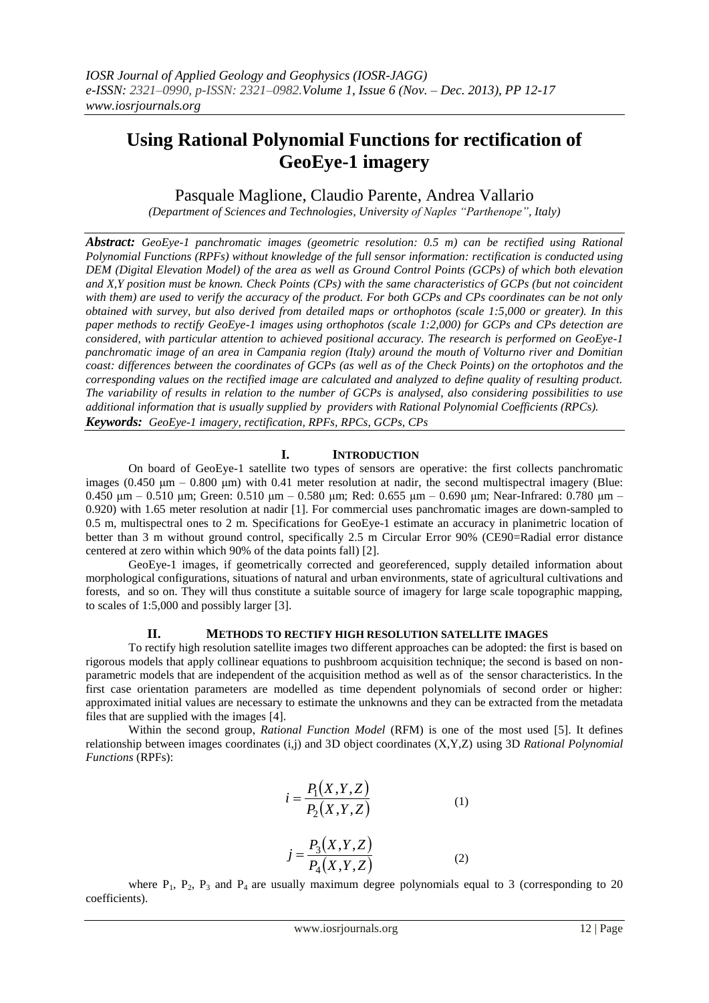# **Using Rational Polynomial Functions for rectification of GeoEye-1 imagery**

# Pasquale Maglione, Claudio Parente, Andrea Vallario

*(Department of Sciences and Technologies, University of Naples "Parthenope", Italy)*

*Abstract: GeoEye-1 panchromatic images (geometric resolution: 0.5 m) can be rectified using Rational Polynomial Functions (RPFs) without knowledge of the full sensor information: rectification is conducted using DEM (Digital Elevation Model) of the area as well as Ground Control Points (GCPs) of which both elevation and X,Y position must be known. Check Points (CPs) with the same characteristics of GCPs (but not coincident with them) are used to verify the accuracy of the product. For both GCPs and CPs coordinates can be not only obtained with survey, but also derived from detailed maps or orthophotos (scale 1:5,000 or greater). In this paper methods to rectify GeoEye-1 images using orthophotos (scale 1:2,000) for GCPs and CPs detection are considered, with particular attention to achieved positional accuracy. The research is performed on GeoEye-1 panchromatic image of an area in Campania region (Italy) around the mouth of Volturno river and Domitian coast: differences between the coordinates of GCPs (as well as of the Check Points) on the ortophotos and the corresponding values on the rectified image are calculated and analyzed to define quality of resulting product. The variability of results in relation to the number of GCPs is analysed, also considering possibilities to use additional information that is usually supplied by providers with Rational Polynomial Coefficients (RPCs). Keywords: GeoEye-1 imagery, rectification, RPFs, RPCs, GCPs, CPs*

## **I. INTRODUCTION**

On board of GeoEye-1 satellite two types of sensors are operative: the first collects panchromatic images  $(0.450 \mu m - 0.800 \mu m)$  with 0.41 meter resolution at nadir, the second multispectral imagery (Blue: 0.450 μm – 0.510 μm; Green: 0.510 μm – 0.580 μm; Red: 0.655 μm – 0.690 μm; Near-Infrared: 0.780 μm – 0.920) with 1.65 meter resolution at nadir [1]. For commercial uses panchromatic images are down-sampled to 0.5 m, multispectral ones to 2 m. Specifications for GeoEye-1 estimate an accuracy in planimetric location of better than 3 m without ground control, specifically 2.5 m Circular Error 90% (CE90=Radial error distance centered at zero within which 90% of the data points fall) [2].

GeoEye-1 images, if geometrically corrected and georeferenced, supply detailed information about morphological configurations, situations of natural and urban environments, state of agricultural cultivations and forests, and so on. They will thus constitute a suitable source of imagery for large scale topographic mapping, to scales of 1:5,000 and possibly larger [3].

### **II. METHODS TO RECTIFY HIGH RESOLUTION SATELLITE IMAGES**

To rectify high resolution satellite images two different approaches can be adopted: the first is based on rigorous models that apply collinear equations to pushbroom acquisition technique; the second is based on nonparametric models that are independent of the acquisition method as well as of the sensor characteristics. In the first case orientation parameters are modelled as time dependent polynomials of second order or higher: approximated initial values are necessary to estimate the unknowns and they can be extracted from the metadata files that are supplied with the images [4].

Within the second group, *Rational Function Model* (RFM) is one of the most used [5]. It defines relationship between images coordinates (i,j) and 3D object coordinates (X,Y,Z) using 3D *Rational Polynomial Functions* (RPFs):

$$
i = \frac{P_1(X, Y, Z)}{P_2(X, Y, Z)}\tag{1}
$$

$$
j = \frac{P_3(X, Y, Z)}{P_4(X, Y, Z)}
$$
 (2)

where  $P_1$ ,  $P_2$ ,  $P_3$  and  $P_4$  are usually maximum degree polynomials equal to 3 (corresponding to 20) coefficients).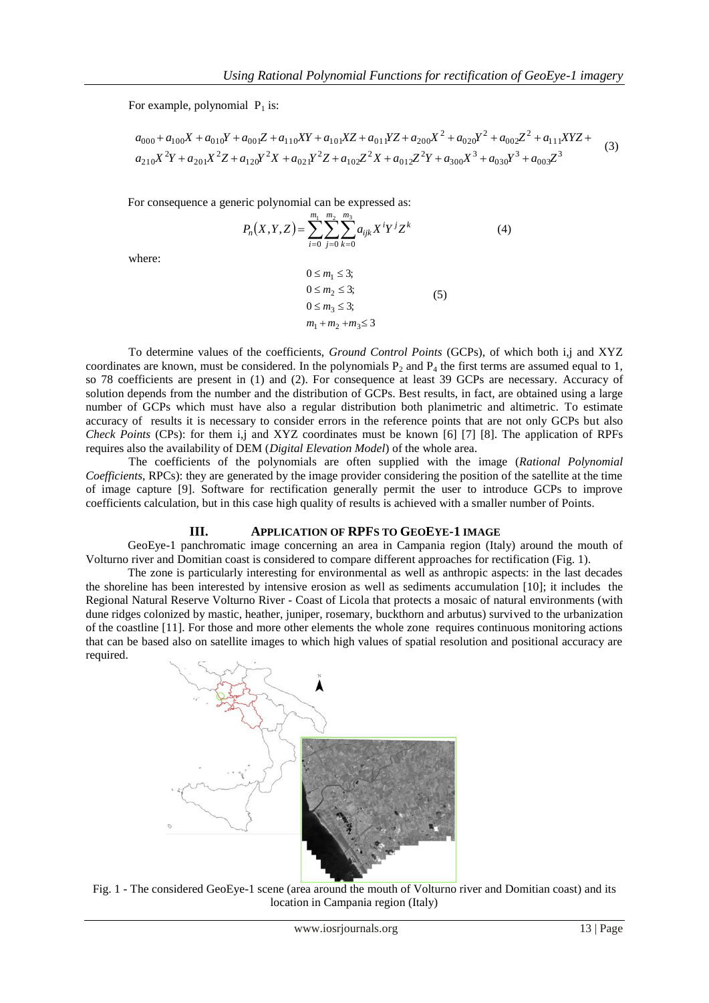For example, polynomial  $P_1$  is:

or example, polynomial P<sub>1</sub> is:  
\n
$$
a_{000} + a_{100}X + a_{010}Y + a_{001}Z + a_{110}XY + a_{101}XZ + a_{011}YZ + a_{200}X^2 + a_{020}Y^2 + a_{002}Z^2 + a_{111}XYZ + a_{210}X^2Y + a_{201}X^2Z + a_{120}Y^2X + a_{021}Y^2Z + a_{102}Z^2X + a_{012}Z^2Y + a_{300}X^3 + a_{030}Y^3 + a_{003}Z^3
$$
\n(3)

For consequence a generic polynomial can be expressed as:

$$
P_n(X,Y,Z) = \sum_{i=0}^{m_1} \sum_{j=0}^{m_2} \sum_{k=0}^{m_3} a_{ijk} X^i Y^j Z^k
$$
 (4)

where:

$$
0 \le m_1 \le 3;
$$
  
\n
$$
0 \le m_2 \le 3;
$$
  
\n
$$
0 \le m_3 \le 3;
$$
  
\n
$$
m_1 + m_2 + m_3 \le 3
$$
\n(5)

To determine values of the coefficients, *Ground Control Points* (GCPs), of which both i,j and XYZ coordinates are known, must be considered. In the polynomials  $P_2$  and  $P_4$  the first terms are assumed equal to 1, so 78 coefficients are present in (1) and (2). For consequence at least 39 GCPs are necessary. Accuracy of solution depends from the number and the distribution of GCPs. Best results, in fact, are obtained using a large number of GCPs which must have also a regular distribution both planimetric and altimetric. To estimate accuracy of results it is necessary to consider errors in the reference points that are not only GCPs but also *Check Points* (CPs): for them i,j and XYZ coordinates must be known [6] [7] [8]. The application of RPFs requires also the availability of DEM (*Digital Elevation Model*) of the whole area.

The coefficients of the polynomials are often supplied with the image (*Rational Polynomial Coefficients*, RPCs): they are generated by the image provider considering the position of the satellite at the time of image capture [9]. Software for rectification generally permit the user to introduce GCPs to improve coefficients calculation, but in this case high quality of results is achieved with a smaller number of Points.

#### **III. APPLICATION OF RPFS TO GEOEYE-1 IMAGE**

GeoEye-1 panchromatic image concerning an area in Campania region (Italy) around the mouth of Volturno river and Domitian coast is considered to compare different approaches for rectification (Fig. 1).

The zone is particularly interesting for environmental as well as anthropic aspects: in the last decades the shoreline has been interested by intensive erosion as well as sediments accumulation [10]; it includes the Regional Natural Reserve Volturno River - Coast of Licola that protects a mosaic of natural environments (with dune ridges colonized by mastic, heather, juniper, rosemary, buckthorn and arbutus) survived to the urbanization of the coastline [11]. For those and more other elements the whole zone requires continuous monitoring actions that can be based also on satellite images to which high values of spatial resolution and positional accuracy are required.



Fig. 1 - The considered GeoEye-1 scene (area around the mouth of Volturno river and Domitian coast) and its location in Campania region (Italy)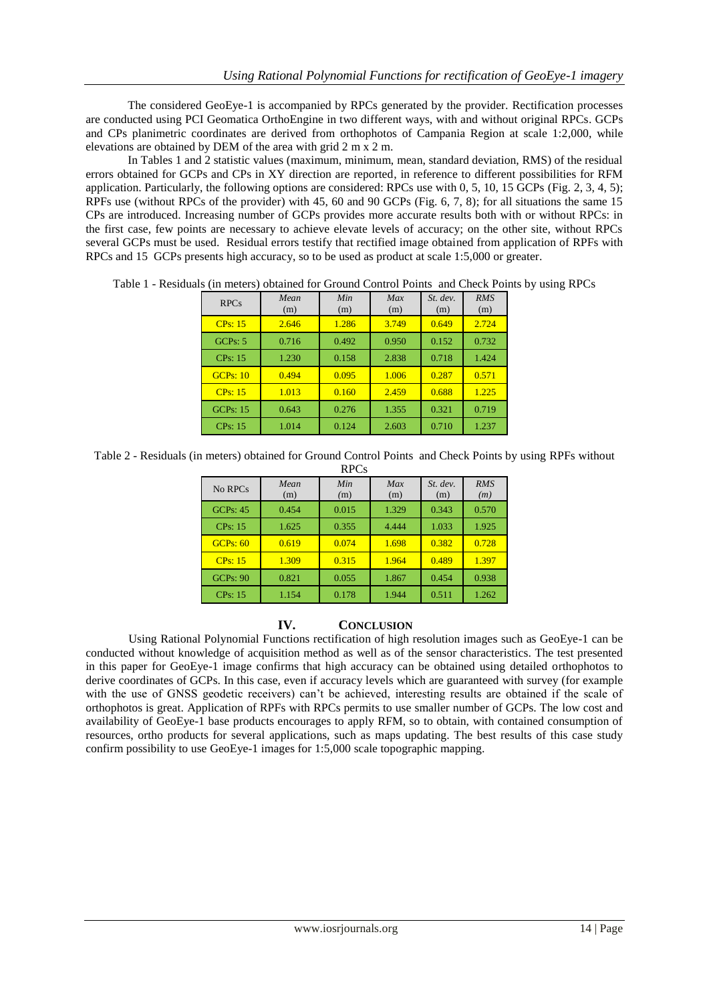The considered GeoEye-1 is accompanied by RPCs generated by the provider. Rectification processes are conducted using PCI Geomatica OrthoEngine in two different ways, with and without original RPCs. GCPs and CPs planimetric coordinates are derived from orthophotos of Campania Region at scale 1:2,000, while elevations are obtained by DEM of the area with grid 2 m x 2 m.

In Tables 1 and 2 statistic values (maximum, minimum, mean, standard deviation, RMS) of the residual errors obtained for GCPs and CPs in XY direction are reported, in reference to different possibilities for RFM application. Particularly, the following options are considered: RPCs use with 0, 5, 10, 15 GCPs (Fig. 2, 3, 4, 5); RPFs use (without RPCs of the provider) with 45, 60 and 90 GCPs (Fig. 6, 7, 8); for all situations the same 15 CPs are introduced. Increasing number of GCPs provides more accurate results both with or without RPCs: in the first case, few points are necessary to achieve elevate levels of accuracy; on the other site, without RPCs several GCPs must be used. Residual errors testify that rectified image obtained from application of RPFs with RPCs and 15 GCPs presents high accuracy, so to be used as product at scale 1:5,000 or greater.

| <b>RPCs</b>     | Mean<br>(m) | Min<br>(m) | Max<br>(m) | $St.$ dev.<br>(m) | <b>RMS</b><br>(m) |
|-----------------|-------------|------------|------------|-------------------|-------------------|
| CPs: 15         | 2.646       | 1.286      | 3.749      | 0.649             | 2.724             |
| GCPs: 5         | 0.716       | 0.492      | 0.950      | 0.152             | 0.732             |
| <b>CPs: 15</b>  | 1.230       | 0.158      | 2.838      | 0.718             | 1.424             |
| GCPs: 10        | 0.494       | 0.095      | 1.006      | 0.287             | 0.571             |
| CPs: 15         | 1.013       | 0.160      | 2.459      | 0.688             | 1.225             |
| <b>GCPs: 15</b> | 0.643       | 0.276      | 1.355      | 0.321             | 0.719             |
| <b>CPs: 15</b>  | 1.014       | 0.124      | 2.603      | 0.710             | 1.237             |

Table 1 - Residuals (in meters) obtained for Ground Control Points and Check Points by using RPCs

Table 2 - Residuals (in meters) obtained for Ground Control Points and Check Points by using RPFs without

| <b>RPCs</b>     |             |            |            |                   |                   |  |  |  |
|-----------------|-------------|------------|------------|-------------------|-------------------|--|--|--|
| No RPCs         | Mean<br>(m) | Min<br>(m) | Max<br>(m) | $St.$ dev.<br>(m) | <b>RMS</b><br>(m) |  |  |  |
| <b>GCPs: 45</b> | 0.454       | 0.015      | 1.329      | 0.343             | 0.570             |  |  |  |
| CPs: 15         | 1.625       | 0.355      | 4.444      | 1.033             | 1.925             |  |  |  |
| GCPs: 60        | 0.619       | 0.074      | 1.698      | 0.382             | 0.728             |  |  |  |
| CPs: 15         | 1.309       | 0.315      | 1.964      | 0.489             | 1.397             |  |  |  |
| GCPs: 90        | 0.821       | 0.055      | 1.867      | 0.454             | 0.938             |  |  |  |
| CPs: 15         | 1.154       | 0.178      | 1.944      | 0.511             | 1.262             |  |  |  |

### **IV. CONCLUSION**

Using Rational Polynomial Functions rectification of high resolution images such as GeoEye-1 can be conducted without knowledge of acquisition method as well as of the sensor characteristics. The test presented in this paper for GeoEye-1 image confirms that high accuracy can be obtained using detailed orthophotos to derive coordinates of GCPs. In this case, even if accuracy levels which are guaranteed with survey (for example with the use of GNSS geodetic receivers) can't be achieved, interesting results are obtained if the scale of orthophotos is great. Application of RPFs with RPCs permits to use smaller number of GCPs. The low cost and availability of GeoEye-1 base products encourages to apply RFM, so to obtain, with contained consumption of resources, ortho products for several applications, such as maps updating. The best results of this case study confirm possibility to use GeoEye-1 images for 1:5,000 scale topographic mapping.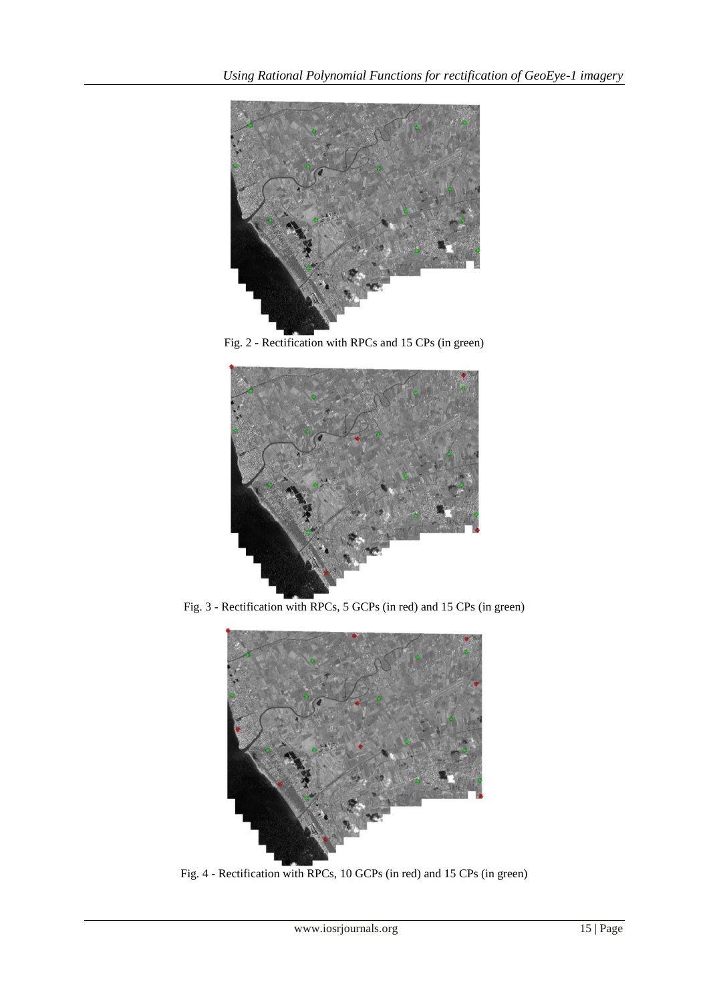

Fig. 2 - Rectification with RPCs and 15 CPs (in green)



Fig. 3 - Rectification with RPCs, 5 GCPs (in red) and 15 CPs (in green)



Fig. 4 - Rectification with RPCs, 10 GCPs (in red) and 15 CPs (in green)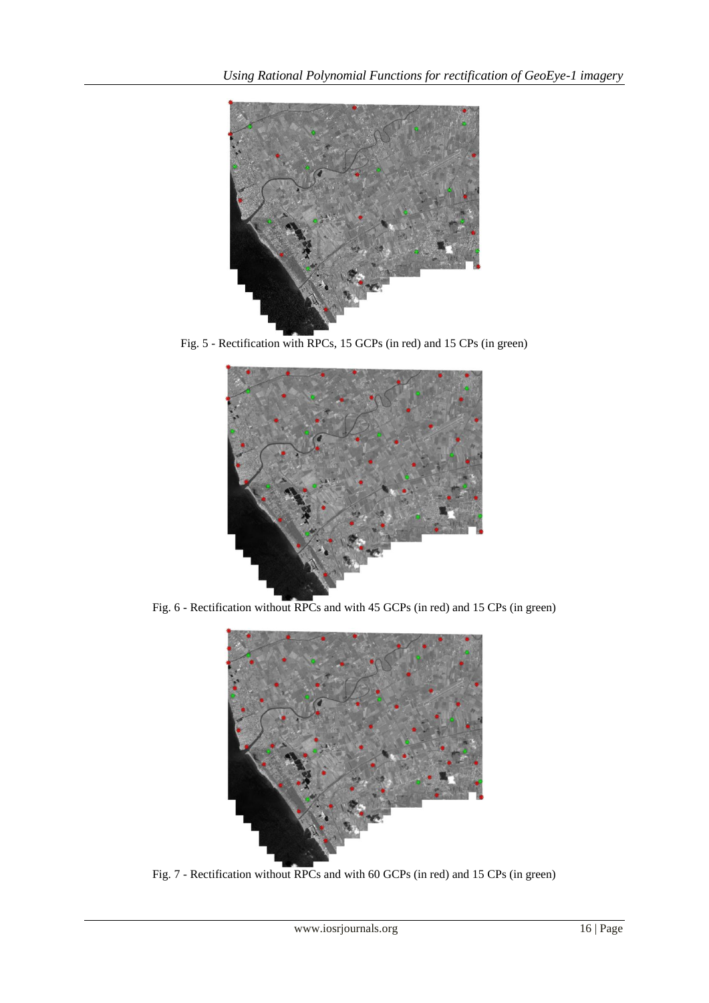

Fig. 5 - Rectification with RPCs, 15 GCPs (in red) and 15 CPs (in green)



Fig. 6 - Rectification without RPCs and with 45 GCPs (in red) and 15 CPs (in green)



Fig. 7 - Rectification without RPCs and with 60 GCPs (in red) and 15 CPs (in green)